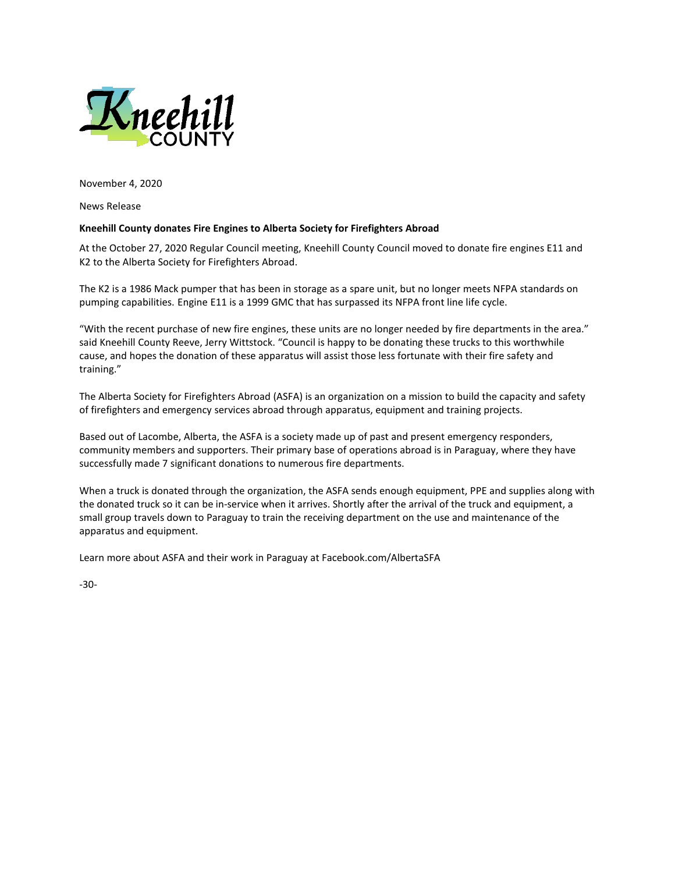

November 4, 2020

News Release

## **Kneehill County donates Fire Engines to Alberta Society for Firefighters Abroad**

At the October 27, 2020 Regular Council meeting, Kneehill County Council moved to donate fire engines E11 and K2 to the Alberta Society for Firefighters Abroad.

The K2 is a 1986 Mack pumper that has been in storage as a spare unit, but no longer meets NFPA standards on pumping capabilities. Engine E11 is a 1999 GMC that has surpassed its NFPA front line life cycle.

"With the recent purchase of new fire engines, these units are no longer needed by fire departments in the area." said Kneehill County Reeve, Jerry Wittstock. "Council is happy to be donating these trucks to this worthwhile cause, and hopes the donation of these apparatus will assist those less fortunate with their fire safety and training."

The Alberta Society for Firefighters Abroad (ASFA) is an organization on a mission to build the capacity and safety of firefighters and emergency services abroad through apparatus, equipment and training projects.

Based out of Lacombe, Alberta, the ASFA is a society made up of past and present emergency responders, community members and supporters. Their primary base of operations abroad is in Paraguay, where they have successfully made 7 significant donations to numerous fire departments.

When a truck is donated through the organization, the ASFA sends enough equipment, PPE and supplies along with the donated truck so it can be in-service when it arrives. Shortly after the arrival of the truck and equipment, a small group travels down to Paraguay to train the receiving department on the use and maintenance of the apparatus and equipment.

Learn more about ASFA and their work in Paraguay at Facebook.com/AlbertaSFA

-30-